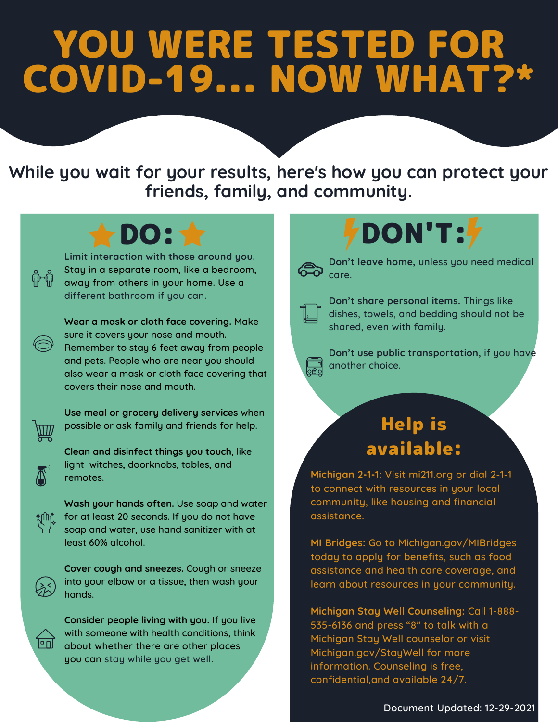## YOU WERE TESTED FOR COVID-19... NOW WHAT?\*

**While you wait for your results, here's how you can protect your friends, family, and community.**

**Limit interaction with those around you.** Stay in a separate room, like a bedroom, away from others in your home. Use a different bathroom if you can.

**Wear a mask or cloth face covering.** Make sure it covers your nose and mouth. Remember to stay 6 feet away from people and pets. People who are near you should also wear a mask or cloth face covering that covers their nose and mouth.



**Use meal or grocery delivery services** when possible or ask family and friends for help.

**Clean and disinfect things you touch**, like light witches, doorknobs, tables, and remotes.



**Wash your hands often.** Use soap and water for at least 20 seconds. If you do not have soap and water, use hand sanitizer with at least 60% alcohol.

**Cover cough and sneezes.** Cough or sneeze into your elbow or a tissue, then wash your hands.

**Consider people living with you.** If you live with someone with health conditions, think about whether there are other places you can stay while you get well.

## DO: WELL TO PON'T:



**Don't leave home,** unless you need medical care.



**Don't share personal items.** Things like dishes, towels, and bedding should not be shared, even with family.



**Don't use public transportation,** if you have another choice.

## Help is available:

**Michigan 2-1-1:** Visit mi211.org or dial 2-1-1 to connect with resources in your local community, like housing and financial assistance.

**MI Bridges:** Go to Michigan.gov/MIBridges today to apply for benefits, such as food assistance and health care coverage, and learn about resources in your community.

**Michigan Stay Well Counseling:** Call 1-888- 535-6136 and press "8" to talk with a Michigan Stay Well counselor or visit Michigan.gov/StayWell for more information. Counseling is free, confidential,and available 24/7.